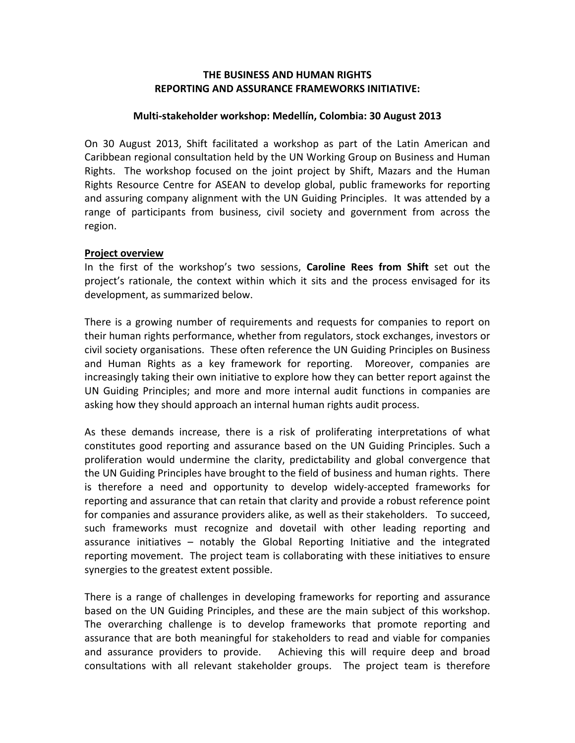### **THE BUSINESS AND HUMAN RIGHTS REPORTING AND ASSURANCE FRAMEWORKS INITIATIVE:**

#### **Multi-stakeholder workshop: Medellín, Colombia: 30 August 2013**

On 30 August 2013, Shift facilitated a workshop as part of the Latin American and Caribbean regional consultation held by the UN Working Group on Business and Human Rights. The workshop focused on the joint project by Shift, Mazars and the Human Rights Resource Centre for ASEAN to develop global, public frameworks for reporting and assuring company alignment with the UN Guiding Principles. It was attended by a range of participants from business, civil society and government from across the region.

#### **Project overview**

In the first of the workshop's two sessions, **Caroline Rees from Shift** set out the project's rationale, the context within which it sits and the process envisaged for its development, as summarized below.

There is a growing number of requirements and requests for companies to report on their human rights performance, whether from regulators, stock exchanges, investors or civil society organisations. These often reference the UN Guiding Principles on Business and Human Rights as a key framework for reporting. Moreover, companies are increasingly taking their own initiative to explore how they can better report against the UN Guiding Principles; and more and more internal audit functions in companies are asking how they should approach an internal human rights audit process.

As these demands increase, there is a risk of proliferating interpretations of what constitutes good reporting and assurance based on the UN Guiding Principles. Such a proliferation would undermine the clarity, predictability and global convergence that the UN Guiding Principles have brought to the field of business and human rights. There is therefore a need and opportunity to develop widely-accepted frameworks for reporting and assurance that can retain that clarity and provide a robust reference point for companies and assurance providers alike, as well as their stakeholders. To succeed, such frameworks must recognize and dovetail with other leading reporting and assurance initiatives  $-$  notably the Global Reporting Initiative and the integrated reporting movement. The project team is collaborating with these initiatives to ensure synergies to the greatest extent possible.

There is a range of challenges in developing frameworks for reporting and assurance based on the UN Guiding Principles, and these are the main subject of this workshop. The overarching challenge is to develop frameworks that promote reporting and assurance that are both meaningful for stakeholders to read and viable for companies and assurance providers to provide. Achieving this will require deep and broad consultations with all relevant stakeholder groups. The project team is therefore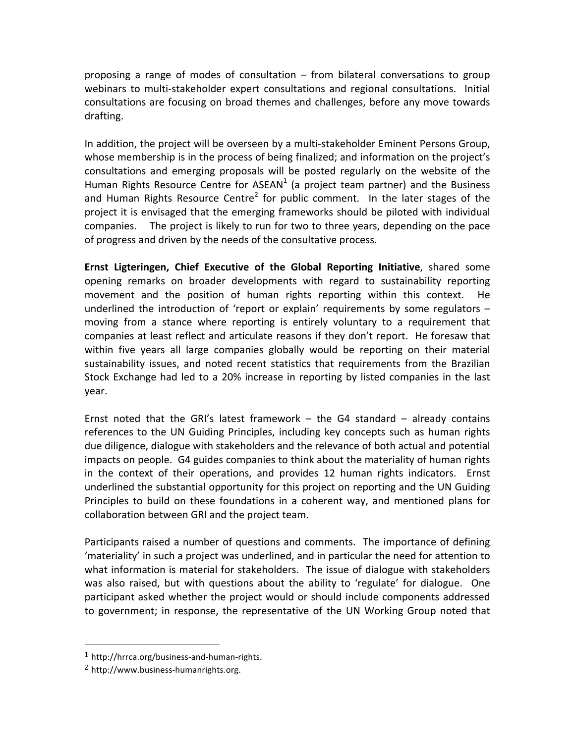proposing a range of modes of consultation – from bilateral conversations to group webinars to multi-stakeholder expert consultations and regional consultations. Initial consultations are focusing on broad themes and challenges, before any move towards drafting. 

In addition, the project will be overseen by a multi-stakeholder Eminent Persons Group, whose membership is in the process of being finalized; and information on the project's consultations and emerging proposals will be posted regularly on the website of the Human Rights Resource Centre for ASEAN<sup>1</sup> (a project team partner) and the Business and Human Rights Resource Centre<sup>2</sup> for public comment. In the later stages of the project it is envisaged that the emerging frameworks should be piloted with individual companies. The project is likely to run for two to three years, depending on the pace of progress and driven by the needs of the consultative process.

**Ernst Ligteringen, Chief Executive of the Global Reporting Initiative**, shared some opening remarks on broader developments with regard to sustainability reporting movement and the position of human rights reporting within this context. He underlined the introduction of 'report or explain' requirements by some regulators  $$ moving from a stance where reporting is entirely voluntary to a requirement that companies at least reflect and articulate reasons if they don't report. He foresaw that within five years all large companies globally would be reporting on their material sustainability issues, and noted recent statistics that requirements from the Brazilian Stock Exchange had led to a 20% increase in reporting by listed companies in the last year. 

Ernst noted that the GRI's latest framework  $-$  the G4 standard  $-$  already contains references to the UN Guiding Principles, including key concepts such as human rights due diligence, dialogue with stakeholders and the relevance of both actual and potential impacts on people. G4 guides companies to think about the materiality of human rights in the context of their operations, and provides 12 human rights indicators. Ernst underlined the substantial opportunity for this project on reporting and the UN Guiding Principles to build on these foundations in a coherent way, and mentioned plans for collaboration between GRI and the project team.

Participants raised a number of questions and comments. The importance of defining 'materiality' in such a project was underlined, and in particular the need for attention to what information is material for stakeholders. The issue of dialogue with stakeholders was also raised, but with questions about the ability to 'regulate' for dialogue. One participant asked whether the project would or should include components addressed to government; in response, the representative of the UN Working Group noted that

 

<sup>1</sup> http://hrrca.org/business-and-human-rights.

<sup>2</sup> http://www.business-humanrights.org.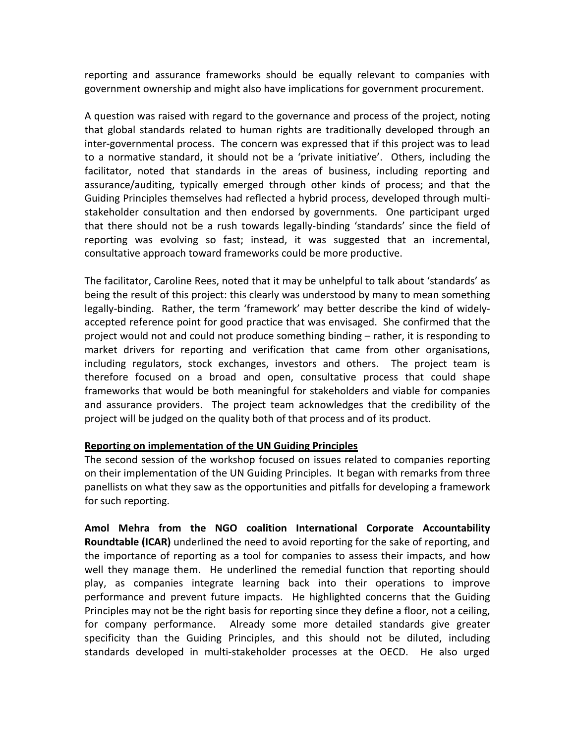reporting and assurance frameworks should be equally relevant to companies with government ownership and might also have implications for government procurement.

A question was raised with regard to the governance and process of the project, noting that global standards related to human rights are traditionally developed through an inter-governmental process. The concern was expressed that if this project was to lead to a normative standard, it should not be a 'private initiative'. Others, including the facilitator, noted that standards in the areas of business, including reporting and assurance/auditing, typically emerged through other kinds of process; and that the Guiding Principles themselves had reflected a hybrid process, developed through multistakeholder consultation and then endorsed by governments. One participant urged that there should not be a rush towards legally-binding 'standards' since the field of reporting was evolving so fast; instead, it was suggested that an incremental, consultative approach toward frameworks could be more productive.

The facilitator, Caroline Rees, noted that it may be unhelpful to talk about 'standards' as being the result of this project: this clearly was understood by many to mean something legally-binding. Rather, the term 'framework' may better describe the kind of widelyaccepted reference point for good practice that was envisaged. She confirmed that the project would not and could not produce something binding – rather, it is responding to market drivers for reporting and verification that came from other organisations, including regulators, stock exchanges, investors and others. The project team is therefore focused on a broad and open, consultative process that could shape frameworks that would be both meaningful for stakeholders and viable for companies and assurance providers. The project team acknowledges that the credibility of the project will be judged on the quality both of that process and of its product.

## **Reporting on implementation of the UN Guiding Principles**

The second session of the workshop focused on issues related to companies reporting on their implementation of the UN Guiding Principles. It began with remarks from three panellists on what they saw as the opportunities and pitfalls for developing a framework for such reporting.

Amol Mehra from the NGO coalition International Corporate Accountability **Roundtable (ICAR)** underlined the need to avoid reporting for the sake of reporting, and the importance of reporting as a tool for companies to assess their impacts, and how well they manage them. He underlined the remedial function that reporting should play, as companies integrate learning back into their operations to improve performance and prevent future impacts. He highlighted concerns that the Guiding Principles may not be the right basis for reporting since they define a floor, not a ceiling, for company performance. Already some more detailed standards give greater specificity than the Guiding Principles, and this should not be diluted, including standards developed in multi-stakeholder processes at the OECD. He also urged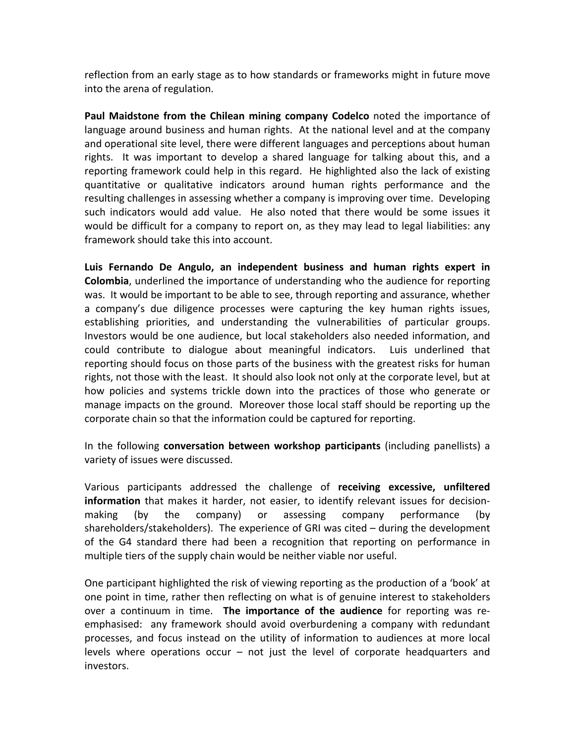reflection from an early stage as to how standards or frameworks might in future move into the arena of regulation.

**Paul Maidstone from the Chilean mining company Codelco** noted the importance of language around business and human rights. At the national level and at the company and operational site level, there were different languages and perceptions about human rights. It was important to develop a shared language for talking about this, and a reporting framework could help in this regard. He highlighted also the lack of existing quantitative or qualitative indicators around human rights performance and the resulting challenges in assessing whether a company is improving over time. Developing such indicators would add value. He also noted that there would be some issues it would be difficult for a company to report on, as they may lead to legal liabilities: any framework should take this into account.

Luis Fernando De Angulo, an independent business and human rights expert in **Colombia**, underlined the importance of understanding who the audience for reporting was. It would be important to be able to see, through reporting and assurance, whether a company's due diligence processes were capturing the key human rights issues, establishing priorities, and understanding the vulnerabilities of particular groups. Investors would be one audience, but local stakeholders also needed information, and could contribute to dialogue about meaningful indicators. Luis underlined that reporting should focus on those parts of the business with the greatest risks for human rights, not those with the least. It should also look not only at the corporate level, but at how policies and systems trickle down into the practices of those who generate or manage impacts on the ground. Moreover those local staff should be reporting up the corporate chain so that the information could be captured for reporting.

In the following **conversation between workshop participants** (including panellists) a variety of issues were discussed.

Various participants addressed the challenge of **receiving excessive, unfiltered information** that makes it harder, not easier, to identify relevant issues for decisionmaking (by the company) or assessing company performance (by shareholders/stakeholders). The experience of GRI was cited  $-$  during the development of the G4 standard there had been a recognition that reporting on performance in multiple tiers of the supply chain would be neither viable nor useful.

One participant highlighted the risk of viewing reporting as the production of a 'book' at one point in time, rather then reflecting on what is of genuine interest to stakeholders over a continuum in time. The importance of the audience for reporting was reemphasised: any framework should avoid overburdening a company with redundant processes, and focus instead on the utility of information to audiences at more local levels where operations occur – not just the level of corporate headquarters and investors.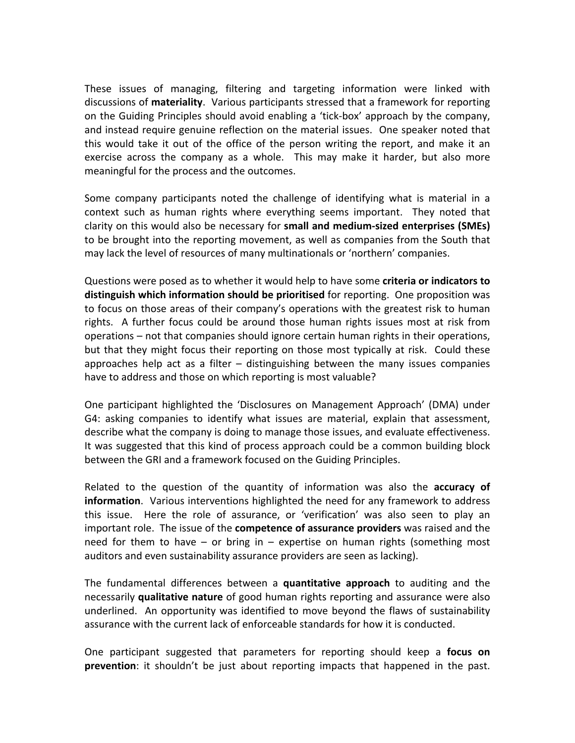These issues of managing, filtering and targeting information were linked with discussions of **materiality**. Various participants stressed that a framework for reporting on the Guiding Principles should avoid enabling a 'tick-box' approach by the company, and instead require genuine reflection on the material issues. One speaker noted that this would take it out of the office of the person writing the report, and make it an exercise across the company as a whole. This may make it harder, but also more meaningful for the process and the outcomes.

Some company participants noted the challenge of identifying what is material in a context such as human rights where everything seems important. They noted that clarity on this would also be necessary for small and medium-sized enterprises (SMEs) to be brought into the reporting movement, as well as companies from the South that may lack the level of resources of many multinationals or 'northern' companies.

Questions were posed as to whether it would help to have some **criteria or indicators to distinguish which information should be prioritised** for reporting. One proposition was to focus on those areas of their company's operations with the greatest risk to human rights. A further focus could be around those human rights issues most at risk from operations – not that companies should ignore certain human rights in their operations, but that they might focus their reporting on those most typically at risk. Could these approaches help act as a filter  $-$  distinguishing between the many issues companies have to address and those on which reporting is most valuable?

One participant highlighted the 'Disclosures on Management Approach' (DMA) under G4: asking companies to identify what issues are material, explain that assessment, describe what the company is doing to manage those issues, and evaluate effectiveness. It was suggested that this kind of process approach could be a common building block between the GRI and a framework focused on the Guiding Principles.

Related to the question of the quantity of information was also the **accuracy of information**. Various interventions highlighted the need for any framework to address this issue. Here the role of assurance, or 'verification' was also seen to play an important role. The issue of the **competence of assurance providers** was raised and the need for them to have  $-$  or bring in  $-$  expertise on human rights (something most auditors and even sustainability assurance providers are seen as lacking).

The fundamental differences between a **quantitative approach** to auditing and the necessarily **qualitative nature** of good human rights reporting and assurance were also underlined. An opportunity was identified to move beyond the flaws of sustainability assurance with the current lack of enforceable standards for how it is conducted.

One participant suggested that parameters for reporting should keep a **focus on prevention**: it shouldn't be just about reporting impacts that happened in the past.